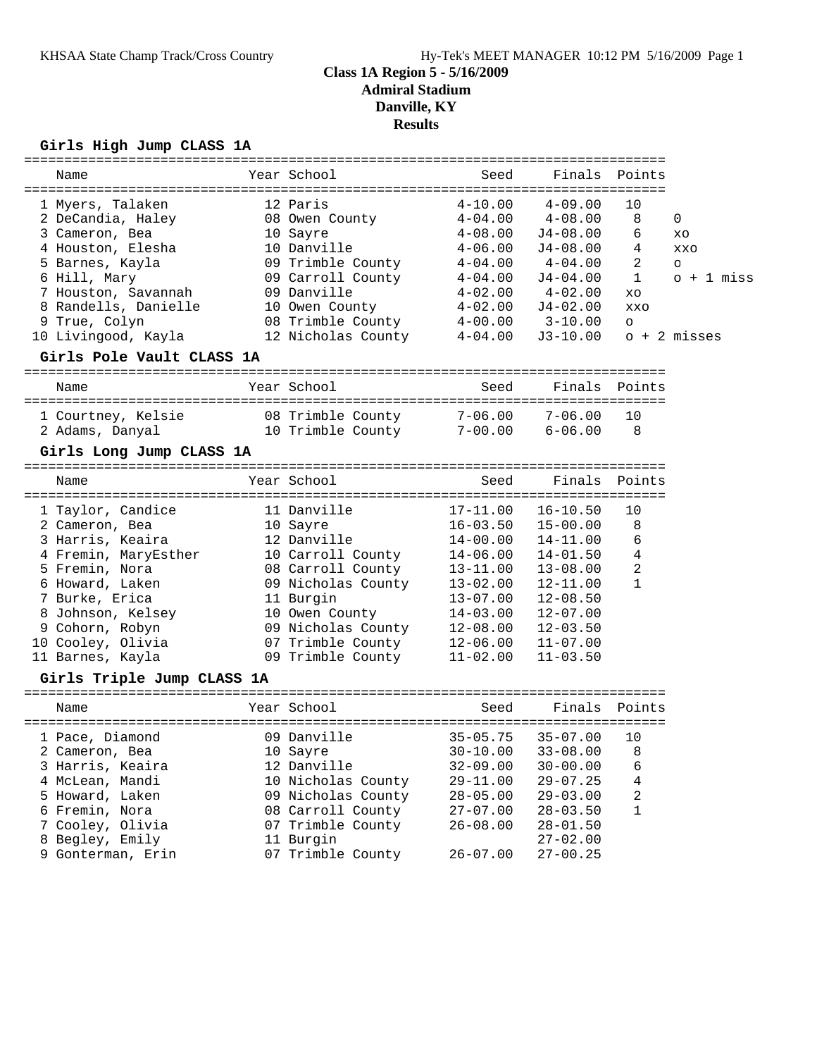# **Class 1A Region 5 - 5/16/2009 Admiral Stadium Danville, KY**

### **Results**

### **Girls High Jump CLASS 1A**

| Name                       | Year School        | Seed                        | Finals                | Points         |                |
|----------------------------|--------------------|-----------------------------|-----------------------|----------------|----------------|
| 1 Myers, Talaken           | 12 Paris           | $4 - 10.00$                 | $4 - 09.00$           | 10             |                |
| 2 DeCandia, Haley          | 08 Owen County     | $4 - 04.00$                 | $4 - 08.00$           | 8              | 0              |
| 3 Cameron, Bea             | 10 Sayre           | $4 - 08.00$                 | $J4-08.00$            | 6              | XO             |
| 4 Houston, Elesha          | 10 Danville        | $4 - 06.00$                 | $J4 - 08.00$          | 4              | <b>XXO</b>     |
| 5 Barnes, Kayla            | 09 Trimble County  | $4 - 04.00$                 | $4\hbox{--}04$ . $00$ | 2              | $\circ$        |
| 6 Hill, Mary               | 09 Carroll County  | $4 - 04.00$                 | $J4-04.00$            | 1              | o + 1 miss     |
| 7 Houston, Savannah        | 09 Danville        | $4 - 02.00$                 | $4 - 02.00$           | XO             |                |
| 8 Randells, Danielle       | 10 Owen County     | 4-02.00                     | $J4 - 02.00$          | XXO            |                |
| 9 True, Colyn              | 08 Trimble County  | $4 - 00.00$                 | $3 - 10.00$           | $\circ$        |                |
| 10 Livingood, Kayla        | 12 Nicholas County | $4 - 04.00$                 | $J3-10.00$            |                | $o + 2$ misses |
| Girls Pole Vault CLASS 1A  |                    |                             |                       |                |                |
| Name                       | Year School        | Seed                        | Finals Points         |                |                |
|                            |                    |                             |                       |                |                |
| 1 Courtney, Kelsie         | 08 Trimble County  | $7 - 06.00$                 | $7 - 06.00$           | 10             |                |
| 2 Adams, Danyal            | 10 Trimble County  | $7 - 00.00$                 | $6 - 06.00$           | -8             |                |
|                            |                    |                             |                       |                |                |
| Girls Long Jump CLASS 1A   |                    |                             |                       |                |                |
| Name                       | Year School        | Seed                        | Finals                | Points         |                |
|                            |                    |                             |                       |                |                |
| 1 Taylor, Candice          | 11 Danville        | $17 - 11.00$                | $16 - 10.50$          | 10             |                |
| 2 Cameron, Bea             | 10 Sayre           | $16 - 03.50$                | $15 - 00.00$          | 8              |                |
| 3 Harris, Keaira           | 12 Danville        | $14 - 00.00$                | 14-11.00              | 6              |                |
| 4 Fremin, MaryEsther       | 10 Carroll County  | $14 - 06.00$                | $14 - 01.50$          | $\overline{4}$ |                |
| 5 Fremin, Nora             | 08 Carroll County  | $13 - 11.00$                | $13 - 08.00$          | 2              |                |
| 6 Howard, Laken            | 09 Nicholas County | $13 - 02.00$                | $12 - 11.00$          | $\mathbf{1}$   |                |
| 7 Burke, Erica             | 11 Burgin          | $13 - 07.00$                | $12 - 08.50$          |                |                |
| 8 Johnson, Kelsey          | 10 Owen County     | $14 - 03.00$                | $12 - 07.00$          |                |                |
| 9 Cohorn, Robyn            | 09 Nicholas County | $12 - 08.00$                | $12 - 03.50$          |                |                |
| 10 Cooley, Olivia          | 07 Trimble County  | $12 - 06.00$                | $11 - 07.00$          |                |                |
| 11 Barnes, Kayla           | 09 Trimble County  | $11 - 02.00$                | $11 - 03.50$          |                |                |
| Girls Triple Jump CLASS 1A |                    |                             |                       |                |                |
| Name                       | Year School        | Seed                        | Finals                | Points         |                |
|                            |                    |                             |                       |                |                |
| 1 Pace, Diamond            | 09 Danville        | $35 - 05.75$                | $35 - 07.00$          | 10             |                |
| 2 Cameron, Bea             | 10 Sayre           | $30 - 10.00$ $33 - 08.00$ 8 |                       |                |                |
| 3 Harris, Keaira           | 12 Danville        | $32 - 09.00$                | $30 - 00.00$          | 6              |                |
| 4 McLean, Mandi            | 10 Nicholas County | $29 - 11.00$                | $29 - 07.25$          | 4              |                |
| 5 Howard, Laken            | 09 Nicholas County | $28 - 05.00$                | $29 - 03.00$          | 2              |                |
| 6 Fremin, Nora             | 08 Carroll County  | $27 - 07.00$                | $28 - 03.50$          | 1              |                |
| 7 Cooley, Olivia           | 07 Trimble County  | $26 - 08.00$                | $28 - 01.50$          |                |                |
| 8 Begley, Emily            | 11 Burgin          |                             | $27 - 02.00$          |                |                |
| 9 Gonterman, Erin          | 07 Trimble County  | $26 - 07.00$                | $27 - 00.25$          |                |                |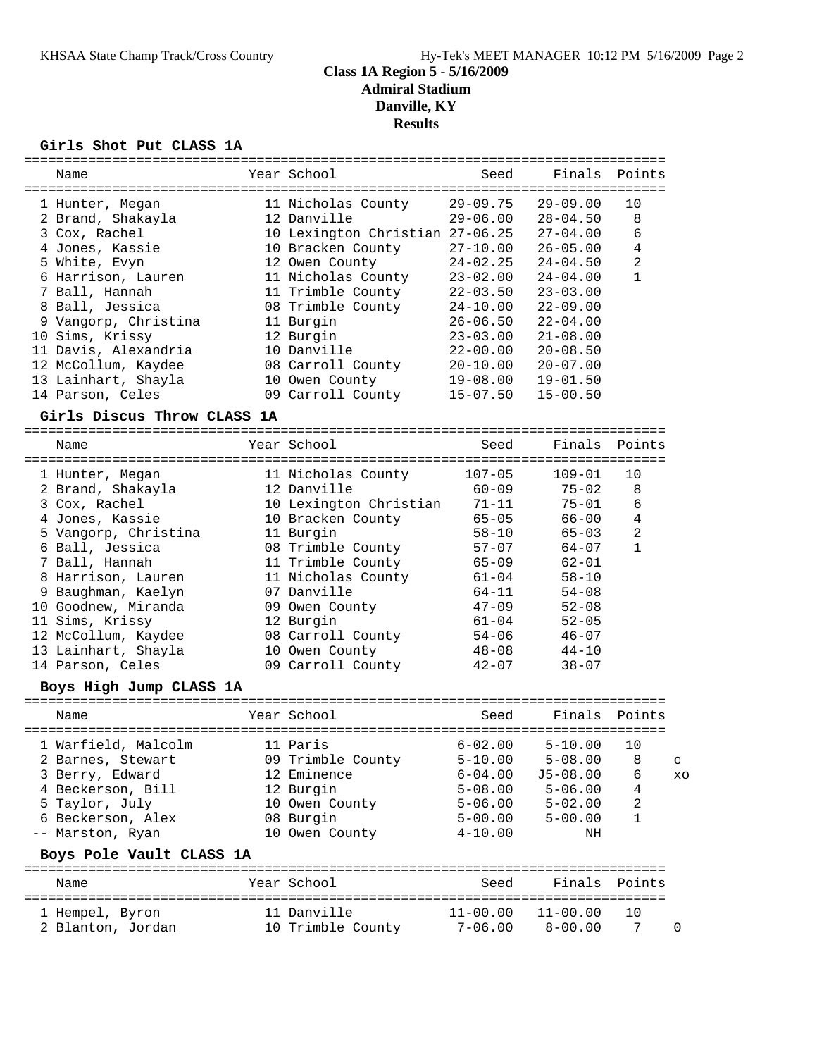## **Class 1A Region 5 - 5/16/2009 Admiral Stadium Danville, KY Results**

#### **Girls Shot Put CLASS 1A**

|                             |                                 | Seed         |              | Finals Points  |         |
|-----------------------------|---------------------------------|--------------|--------------|----------------|---------|
| Name                        | Year School                     |              |              |                |         |
| 1 Hunter, Megan             | 11 Nicholas County              | $29 - 09.75$ | $29 - 09.00$ | 10             |         |
| 2 Brand, Shakayla           | 12 Danville                     | $29 - 06.00$ | $28 - 04.50$ | 8              |         |
| 3 Cox, Rachel               | 10 Lexington Christian 27-06.25 |              | $27 - 04.00$ | 6              |         |
| 4 Jones, Kassie             | 10 Bracken County               | $27 - 10.00$ | $26 - 05.00$ | $\overline{4}$ |         |
| 5 White, Evyn               | 12 Owen County                  | $24 - 02.25$ | $24 - 04.50$ | $\overline{a}$ |         |
| 6 Harrison, Lauren          | 11 Nicholas County              | $23 - 02.00$ | $24 - 04.00$ | $\mathbf{1}$   |         |
| 7 Ball, Hannah              | 11 Trimble County               | $22 - 03.50$ | $23 - 03.00$ |                |         |
| 8 Ball, Jessica             | 08 Trimble County               | $24 - 10.00$ | $22 - 09.00$ |                |         |
| 9 Vangorp, Christina        | 11 Burgin                       | $26 - 06.50$ | $22 - 04.00$ |                |         |
| 10 Sims, Krissy             | 12 Burgin                       | $23 - 03.00$ | $21 - 08.00$ |                |         |
| 11 Davis, Alexandria        | 10 Danville                     | $22 - 00.00$ | $20 - 08.50$ |                |         |
| 12 McCollum, Kaydee         | 08 Carroll County               | $20 - 10.00$ | $20 - 07.00$ |                |         |
| 13 Lainhart, Shayla         | 10 Owen County                  | $19 - 08.00$ | $19 - 01.50$ |                |         |
| 14 Parson, Celes            | 09 Carroll County               | $15 - 07.50$ | $15 - 00.50$ |                |         |
| Girls Discus Throw CLASS 1A |                                 |              |              |                |         |
| Name                        | Year School                     | Seed         | Finals       | Points         |         |
|                             |                                 |              |              |                |         |
| 1 Hunter, Megan             | 11 Nicholas County              | $107 - 05$   | $109 - 01$   | 10             |         |
| 2 Brand, Shakayla           | 12 Danville                     | $60 - 09$    | $75 - 02$    | 8              |         |
| 3 Cox, Rachel               | 10 Lexington Christian          | $71 - 11$    | $75 - 01$    | 6              |         |
| 4 Jones, Kassie             | 10 Bracken County               | $65 - 05$    | $66 - 00$    | $\overline{4}$ |         |
| 5 Vangorp, Christina        | 11 Burgin                       | $58 - 10$    | $65 - 03$    | $\overline{c}$ |         |
| 6 Ball, Jessica             | 08 Trimble County               | $57 - 07$    | 64-07        | $\mathbf{1}$   |         |
| 7 Ball, Hannah              | 11 Trimble County               | $65 - 09$    | $62 - 01$    |                |         |
| 8 Harrison, Lauren          | 11 Nicholas County              | $61 - 04$    | $58 - 10$    |                |         |
| 9 Baughman, Kaelyn          | 07 Danville                     | $64 - 11$    | $54 - 08$    |                |         |
| 10 Goodnew, Miranda         | 09 Owen County                  | $47 - 09$    | $52 - 08$    |                |         |
| 11 Sims, Krissy             | 12 Burgin                       | $61 - 04$    | $52 - 05$    |                |         |
| 12 McCollum, Kaydee         | 08 Carroll County               | $54 - 06$    | $46 - 07$    |                |         |
| 13 Lainhart, Shayla         | 10 Owen County                  | $48 - 08$    | $44 - 10$    |                |         |
| 14 Parson, Celes            | 09 Carroll County               | $42 - 07$    | $38 - 07$    |                |         |
| Boys High Jump CLASS 1A     |                                 |              |              |                |         |
| Name                        |                                 |              |              |                |         |
|                             | Year School                     | Seed         | Finals       | Points         |         |
| 1 Warfield, Malcolm         | 11 Paris                        | $6 - 02.00$  | $5 - 10.00$  | 10             |         |
| 2 Barnes, Stewart           | 09 Trimble County               | $5 - 10.00$  | $5 - 08.00$  | 8              |         |
| 3 Berry, Edward             | 12 Eminence                     | $6 - 04.00$  | $J5 - 08.00$ | 6              | O<br>XO |
| 4 Beckerson, Bill           | 12 Burgin                       | $5 - 08.00$  | $5 - 06.00$  | 4              |         |
| 5 Taylor, July              | 10 Owen County                  | $5 - 06.00$  | $5 - 02.00$  | 2              |         |
| 6 Beckerson, Alex           | 08 Burgin                       | $5 - 00.00$  | $5 - 00.00$  | 1              |         |
| -- Marston, Ryan            | 10 Owen County                  | $4 - 10.00$  | ΝH           |                |         |
| Boys Pole Vault CLASS 1A    |                                 |              |              |                |         |
|                             |                                 |              |              |                |         |
| Name                        | Year School                     | Seed         | Finals       | Points         |         |
| 1 Hempel, Byron             | 11 Danville                     | $11 - 00.00$ | $11 - 00.00$ | 10             |         |
| 2 Blanton, Jordan           | 10 Trimble County               | $7 - 06.00$  | $8 - 00.00$  | 7              | 0       |
|                             |                                 |              |              |                |         |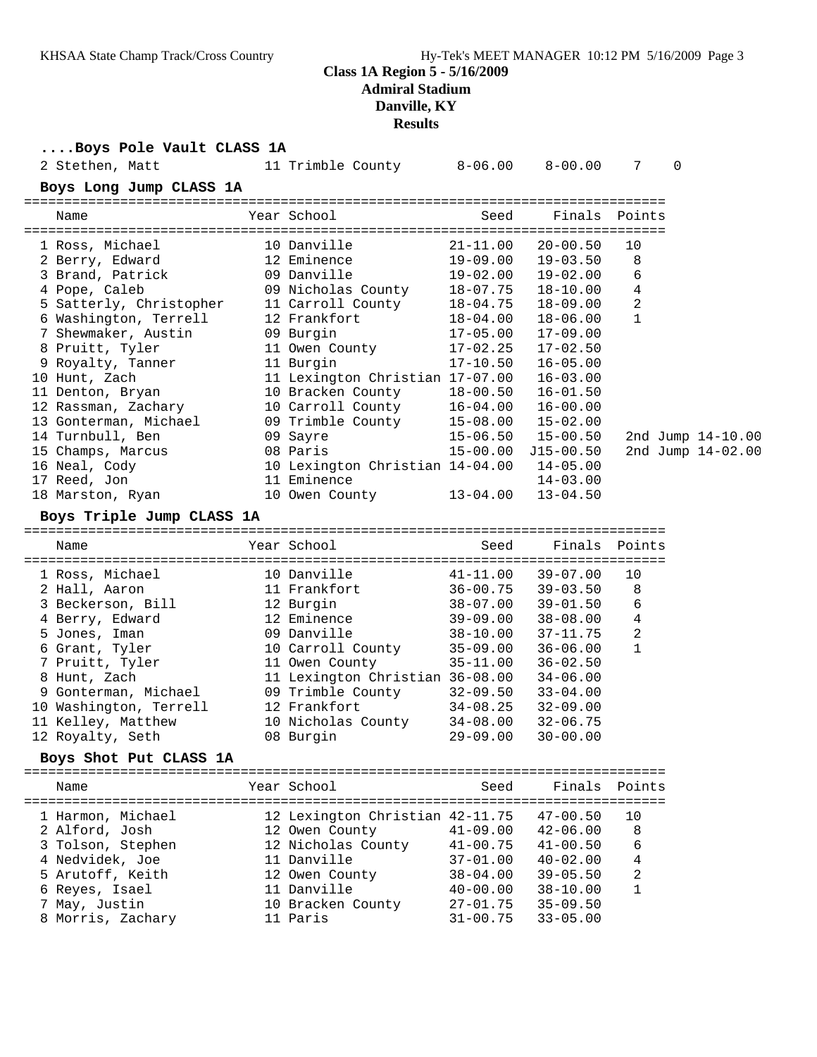## **Class 1A Region 5 - 5/16/2009 Admiral Stadium Danville, KY**

**Results**

| Boys Pole Vault CLASS 1A           |                                 |                              |                              |              |             |                   |
|------------------------------------|---------------------------------|------------------------------|------------------------------|--------------|-------------|-------------------|
| 2 Stethen, Matt                    | 11 Trimble County 8-06.00       |                              | $8-00.00$                    | 7            | $\mathbf 0$ |                   |
| Boys Long Jump CLASS 1A            |                                 |                              |                              |              |             |                   |
| Name                               | Year School                     | Seed                         | Finals                       | Points       |             |                   |
| 1 Ross, Michael                    | 10 Danville                     | $21 - 11.00$                 | $20 - 00.50$                 | 10           |             |                   |
| 2 Berry, Edward                    | 12 Eminence                     | 19-09.00                     | $19 - 03.50$                 | 8            |             |                   |
| 3 Brand, Patrick                   | 09 Danville                     | 19-02.00                     | $19 - 02.00$                 | 6            |             |                   |
| 4 Pope, Caleb                      | 09 Nicholas County              | 18-07.75                     | 18-10.00                     | 4            |             |                   |
| 5 Satterly, Christopher            | 11 Carroll County               | 18-04.75                     | $18 - 09.00$                 | 2            |             |                   |
| 6 Washington, Terrell              | 12 Frankfort                    | 18-04.00                     | $18 - 06.00$                 | $\mathbf{1}$ |             |                   |
| 7 Shewmaker, Austin                | 09 Burgin                       | 17-05.00<br>17-02.25         | $17 - 09.00$                 |              |             |                   |
| 8 Pruitt, Tyler                    | 11 Owen County                  |                              | $17 - 02.50$                 |              |             |                   |
| 9 Royalty, Tanner                  | 11 Burgin                       | 17-10.50                     | $16 - 05.00$                 |              |             |                   |
| 10 Hunt, Zach                      | 11 Lexington Christian 17-07.00 |                              | $16 - 03.00$                 |              |             |                   |
| 11 Denton, Bryan                   | 10 Bracken County               | 18-00.50                     | $16 - 01.50$                 |              |             |                   |
| 12 Rassman, Zachary                | 10 Carroll County 16-04.00      |                              | $16 - 00.00$                 |              |             |                   |
| 13 Gonterman, Michael              | 09 Trimble County $15-08.00$    |                              | $15 - 02.00$                 |              |             |                   |
| 14 Turnbull, Ben                   | 09 Sayre                        | 15-06.50                     | $15 - 00.50$                 |              |             | 2nd Jump 14-10.00 |
| 15 Champs, Marcus                  | 08 Paris                        | $15 - 00.00$                 | $J15 - 00.50$                |              |             | 2nd Jump 14-02.00 |
| 16 Neal, Cody                      | 10 Lexington Christian 14-04.00 |                              | $14 - 05.00$                 |              |             |                   |
| 17 Reed, Jon                       | 11 Eminence                     |                              | $14 - 03.00$                 |              |             |                   |
| 18 Marston, Ryan                   | 10 Owen County                  | $13 - 04.00$                 | $13 - 04.50$                 |              |             |                   |
| Boys Triple Jump CLASS 1A          |                                 |                              |                              |              |             |                   |
| Name                               | Year School                     | Seed                         | Finals                       | Points       |             |                   |
| 1 Ross, Michael                    | 10 Danville                     | $41 - 11.00$                 | $39 - 07.00$                 | 10           |             |                   |
| 2 Hall, Aaron                      | 11 Frankfort                    | $36 - 00.75$                 | $39 - 03.50$                 | 8            |             |                   |
| 3 Beckerson, Bill                  | 12 Burgin                       | 38-07.00                     | $39 - 01.50$                 | 6            |             |                   |
| 4 Berry, Edward                    | 12 Eminence                     | 39-09.00                     | $38 - 08.00$                 | 4            |             |                   |
| 5 Jones, Iman                      | 09 Danville                     | 38-10.00                     | 37-11.75                     | 2            |             |                   |
| 6 Grant, Tyler                     | 10 Carroll County 35-09.00      |                              | $36 - 06.00$                 | $\mathbf{1}$ |             |                   |
| 7 Pruitt, Tyler                    | 11 Owen County                  | 35-11.00                     | $36 - 02.50$                 |              |             |                   |
| 8 Hunt, Zach                       | 11 Lexington Christian 36-08.00 |                              | $34 - 06.00$                 |              |             |                   |
| 9 Gonterman, Michael               | 09 Trimble County 32-09.50      |                              | $33 - 04.00$                 |              |             |                   |
| 10 Washington, Terrell             | 12 Frankfort                    | 34-08.25                     | $32 - 09.00$                 |              |             |                   |
| 11 Kelley, Matthew                 | 10 Nicholas County              | $34 - 08.00$                 | $32 - 06.75$                 |              |             |                   |
| 12 Royalty, Seth                   | 08 Burgin                       | $29 - 09.00$                 | $30 - 00.00$                 |              |             |                   |
| Boys Shot Put CLASS 1A             |                                 |                              |                              |              |             |                   |
|                                    |                                 |                              |                              |              |             |                   |
| Name                               | Year School                     | Seed                         | Finals                       | Points       |             |                   |
|                                    |                                 |                              |                              |              |             |                   |
| 1 Harmon, Michael                  | 12 Lexington Christian 42-11.75 |                              | $47 - 00.50$                 | 10           |             |                   |
| 2 Alford, Josh                     | 12 Owen County                  | $41 - 09.00$                 | $42 - 06.00$                 | 8            |             |                   |
| 3 Tolson, Stephen                  | 12 Nicholas County              | $41 - 00.75$                 | $41 - 00.50$                 | 6<br>4       |             |                   |
| 4 Nedvidek, Joe                    | 11 Danville                     | $37 - 01.00$                 | $40 - 02.00$                 | 2            |             |                   |
| 5 Arutoff, Keith                   | 12 Owen County                  | $38 - 04.00$                 | $39 - 05.50$                 | 1            |             |                   |
| 6 Reyes, Isael                     | 11 Danville                     | $40 - 00.00$<br>$27 - 01.75$ | $38 - 10.00$<br>$35 - 09.50$ |              |             |                   |
| 7 May, Justin<br>8 Morris, Zachary | 10 Bracken County<br>11 Paris   | $31 - 00.75$                 | $33 - 05.00$                 |              |             |                   |